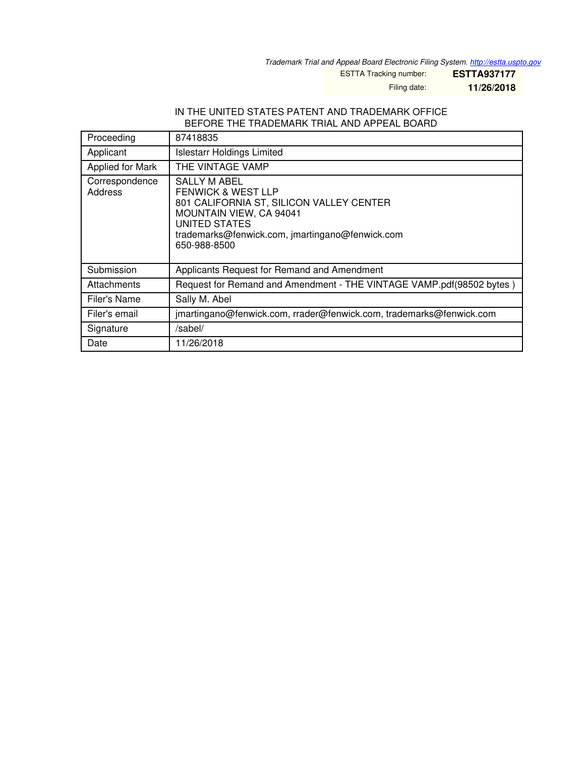*Trademark Trial and Appeal Board Electronic Filing System. <http://estta.uspto.gov>*

ESTTA Tracking number: **ESTTA937177**

Filing date: **11/26/2018**

#### IN THE UNITED STATES PATENT AND TRADEMARK OFFICE BEFORE THE TRADEMARK TRIAL AND APPEAL BOARD

| Proceeding                | 87418835                                                                                                                                                                                                 |
|---------------------------|----------------------------------------------------------------------------------------------------------------------------------------------------------------------------------------------------------|
| Applicant                 | <b>Islestarr Holdings Limited</b>                                                                                                                                                                        |
| Applied for Mark          | THE VINTAGE VAMP                                                                                                                                                                                         |
| Correspondence<br>Address | SALLY M ABEL<br><b>FENWICK &amp; WEST LLP</b><br>801 CALIFORNIA ST, SILICON VALLEY CENTER<br>MOUNTAIN VIEW, CA 94041<br>UNITED STATES<br>trademarks@fenwick.com, jmartingano@fenwick.com<br>650-988-8500 |
| Submission                | Applicants Request for Remand and Amendment                                                                                                                                                              |
| Attachments               | Request for Remand and Amendment - THE VINTAGE VAMP.pdf(98502 bytes)                                                                                                                                     |
| Filer's Name              | Sally M. Abel                                                                                                                                                                                            |
| Filer's email             | jmartingano@fenwick.com, rrader@fenwick.com, trademarks@fenwick.com                                                                                                                                      |
| Signature                 | /sabel/                                                                                                                                                                                                  |
| Date                      | 11/26/2018                                                                                                                                                                                               |